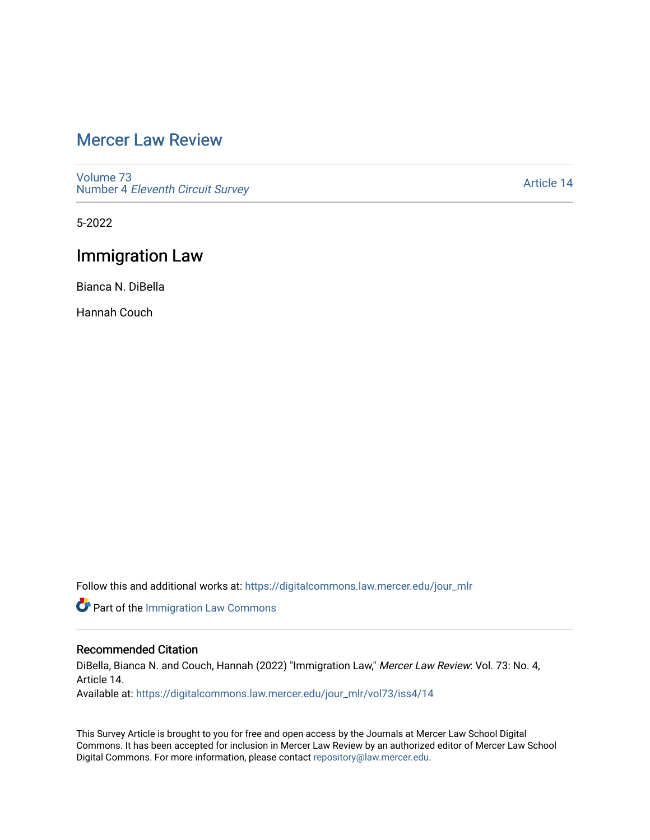# [Mercer Law Review](https://digitalcommons.law.mercer.edu/jour_mlr)

[Volume 73](https://digitalcommons.law.mercer.edu/jour_mlr/vol73) Number 4 [Eleventh Circuit Survey](https://digitalcommons.law.mercer.edu/jour_mlr/vol73/iss4) 

[Article 14](https://digitalcommons.law.mercer.edu/jour_mlr/vol73/iss4/14) 

5-2022

## Immigration Law

Bianca N. DiBella

Hannah Couch

Follow this and additional works at: [https://digitalcommons.law.mercer.edu/jour\\_mlr](https://digitalcommons.law.mercer.edu/jour_mlr?utm_source=digitalcommons.law.mercer.edu%2Fjour_mlr%2Fvol73%2Fiss4%2F14&utm_medium=PDF&utm_campaign=PDFCoverPages)

Part of the [Immigration Law Commons](https://network.bepress.com/hgg/discipline/604?utm_source=digitalcommons.law.mercer.edu%2Fjour_mlr%2Fvol73%2Fiss4%2F14&utm_medium=PDF&utm_campaign=PDFCoverPages)

## Recommended Citation

DiBella, Bianca N. and Couch, Hannah (2022) "Immigration Law," Mercer Law Review: Vol. 73: No. 4, Article 14. Available at: [https://digitalcommons.law.mercer.edu/jour\\_mlr/vol73/iss4/14](https://digitalcommons.law.mercer.edu/jour_mlr/vol73/iss4/14?utm_source=digitalcommons.law.mercer.edu%2Fjour_mlr%2Fvol73%2Fiss4%2F14&utm_medium=PDF&utm_campaign=PDFCoverPages) 

This Survey Article is brought to you for free and open access by the Journals at Mercer Law School Digital Commons. It has been accepted for inclusion in Mercer Law Review by an authorized editor of Mercer Law School Digital Commons. For more information, please contact [repository@law.mercer.edu](mailto:repository@law.mercer.edu).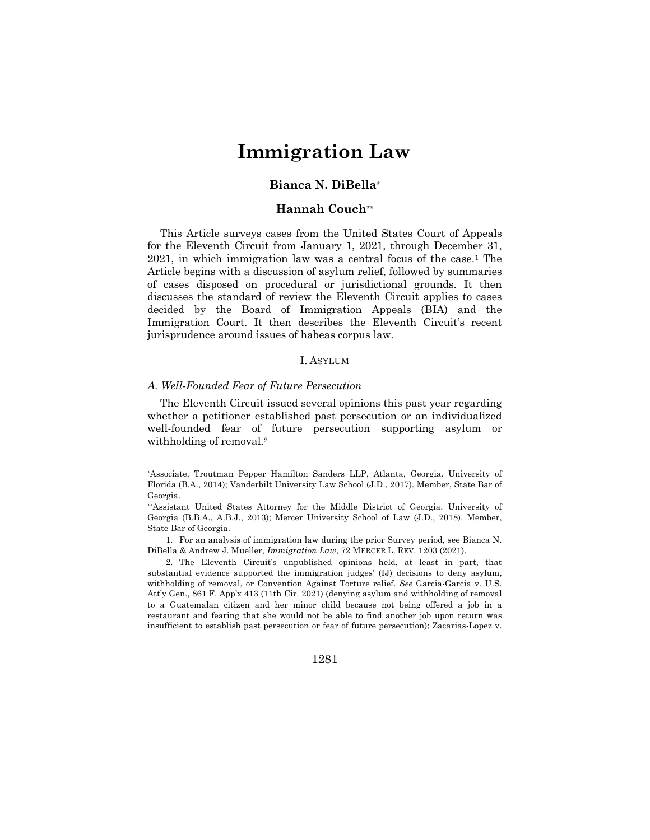# **Immigration Law**

## **Bianca N. DiBella\***

## **Hannah Couch\*\***

This Article surveys cases from the United States Court of Appeals for the Eleventh Circuit from January 1, 2021, through December 31,  $2021$ , in which immigration law was a central focus of the case.<sup>1</sup> The Article begins with a discussion of asylum relief, followed by summaries of cases disposed on procedural or jurisdictional grounds. It then discusses the standard of review the Eleventh Circuit applies to cases decided by the Board of Immigration Appeals (BIA) and the Immigration Court. It then describes the Eleventh Circuit's recent jurisprudence around issues of habeas corpus law.

### I. ASYLUM

#### *A. Well-Founded Fear of Future Persecution*

The Eleventh Circuit issued several opinions this past year regarding whether a petitioner established past persecution or an individualized well-founded fear of future persecution supporting asylum or withholding of removal.<sup>2</sup>

<sup>\*</sup>Associate, Troutman Pepper Hamilton Sanders LLP, Atlanta, Georgia. University of Florida (B.A., 2014); Vanderbilt University Law School (J.D., 2017). Member, State Bar of Georgia.

<sup>\*\*</sup>Assistant United States Attorney for the Middle District of Georgia. University of Georgia (B.B.A., A.B.J., 2013); Mercer University School of Law (J.D., 2018). Member, State Bar of Georgia.

<sup>1.</sup> For an analysis of immigration law during the prior Survey period, see Bianca N. DiBella & Andrew J. Mueller, *Immigration Law*, 72 MERCER L. REV. 1203 (2021).

<sup>2.</sup> The Eleventh Circuit's unpublished opinions held, at least in part, that substantial evidence supported the immigration judges' (IJ) decisions to deny asylum, withholding of removal, or Convention Against Torture relief. *See* Garcia-Garcia v. U.S. Att'y Gen., 861 F. App'x 413 (11th Cir. 2021) (denying asylum and withholding of removal to a Guatemalan citizen and her minor child because not being offered a job in a restaurant and fearing that she would not be able to find another job upon return was insufficient to establish past persecution or fear of future persecution); Zacarias-Lopez v.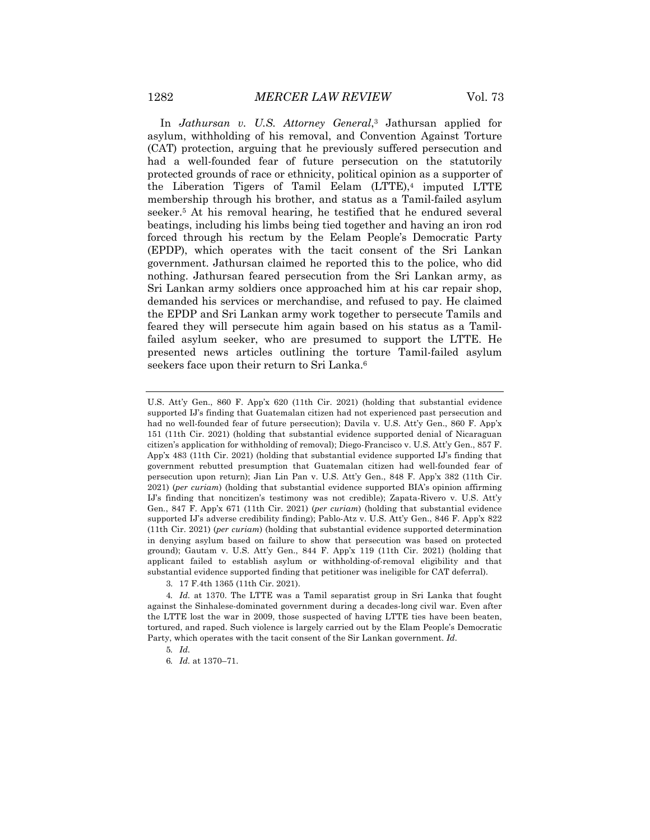In *Jathursan v. U.S. Attorney General*,3 Jathursan applied for asylum, withholding of his removal, and Convention Against Torture (CAT) protection, arguing that he previously suffered persecution and had a well-founded fear of future persecution on the statutorily protected grounds of race or ethnicity, political opinion as a supporter of the Liberation Tigers of Tamil Eelam (LTTE),<sup>4</sup> imputed LTTE membership through his brother, and status as a Tamil-failed asylum seeker.5 At his removal hearing, he testified that he endured several beatings, including his limbs being tied together and having an iron rod forced through his rectum by the Eelam People's Democratic Party (EPDP), which operates with the tacit consent of the Sri Lankan government. Jathursan claimed he reported this to the police, who did nothing. Jathursan feared persecution from the Sri Lankan army, as Sri Lankan army soldiers once approached him at his car repair shop, demanded his services or merchandise, and refused to pay. He claimed the EPDP and Sri Lankan army work together to persecute Tamils and feared they will persecute him again based on his status as a Tamilfailed asylum seeker, who are presumed to support the LTTE. He presented news articles outlining the torture Tamil-failed asylum seekers face upon their return to Sri Lanka.<sup>6</sup>

U.S. Att'y Gen., 860 F. App'x 620 (11th Cir. 2021) (holding that substantial evidence supported IJ's finding that Guatemalan citizen had not experienced past persecution and had no well-founded fear of future persecution); Davila v. U.S. Att'y Gen., 860 F. App'x 151 (11th Cir. 2021) (holding that substantial evidence supported denial of Nicaraguan citizen's application for withholding of removal); Diego-Francisco v. U.S. Att'y Gen., 857 F. App'x 483 (11th Cir. 2021) (holding that substantial evidence supported IJ's finding that government rebutted presumption that Guatemalan citizen had well-founded fear of persecution upon return); Jian Lin Pan v. U.S. Att'y Gen., 848 F. App'x 382 (11th Cir. 2021) (*per curiam*) (holding that substantial evidence supported BIA's opinion affirming IJ's finding that noncitizen's testimony was not credible); Zapata-Rivero v. U.S. Att'y Gen*.*, 847 F. App'x 671 (11th Cir. 2021) (*per curiam*) (holding that substantial evidence supported IJ's adverse credibility finding); Pablo-Atz v. U.S. Att'y Gen., 846 F. App'x 822 (11th Cir. 2021) (*per curiam*) (holding that substantial evidence supported determination in denying asylum based on failure to show that persecution was based on protected ground); Gautam v. U.S. Att'y Gen., 844 F. App'x 119 (11th Cir. 2021) (holding that applicant failed to establish asylum or withholding-of-removal eligibility and that substantial evidence supported finding that petitioner was ineligible for CAT deferral).

<sup>3.</sup> 17 F.4th 1365 (11th Cir. 2021).

<sup>4</sup>*. Id.* at 1370. The LTTE was a Tamil separatist group in Sri Lanka that fought against the Sinhalese-dominated government during a decades-long civil war. Even after the LTTE lost the war in 2009, those suspected of having LTTE ties have been beaten, tortured, and raped. Such violence is largely carried out by the Elam People's Democratic Party, which operates with the tacit consent of the Sir Lankan government. *Id.*

<sup>5</sup>*. Id.*

<sup>6</sup>*. Id.* at 1370–71.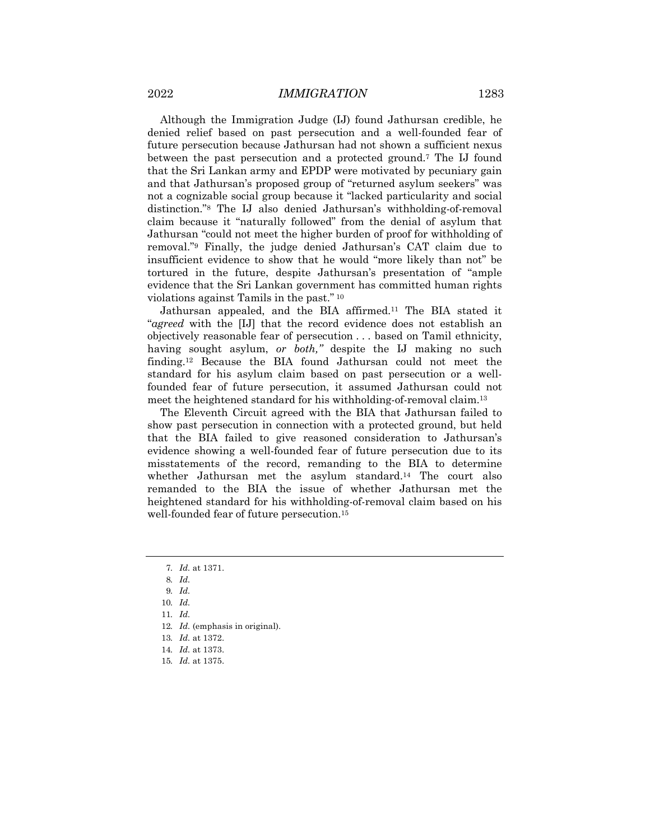Although the Immigration Judge (IJ) found Jathursan credible, he denied relief based on past persecution and a well-founded fear of future persecution because Jathursan had not shown a sufficient nexus between the past persecution and a protected ground.7 The IJ found that the Sri Lankan army and EPDP were motivated by pecuniary gain and that Jathursan's proposed group of "returned asylum seekers" was not a cognizable social group because it "lacked particularity and social distinction."8 The IJ also denied Jathursan's withholding-of-removal claim because it "naturally followed" from the denial of asylum that Jathursan "could not meet the higher burden of proof for withholding of removal."9 Finally, the judge denied Jathursan's CAT claim due to insufficient evidence to show that he would "more likely than not" be tortured in the future, despite Jathursan's presentation of "ample evidence that the Sri Lankan government has committed human rights violations against Tamils in the past." <sup>10</sup>

Jathursan appealed, and the BIA affirmed.11 The BIA stated it "*agreed* with the [IJ] that the record evidence does not establish an objectively reasonable fear of persecution . . . based on Tamil ethnicity, having sought asylum, *or both,"* despite the IJ making no such finding.12 Because the BIA found Jathursan could not meet the standard for his asylum claim based on past persecution or a wellfounded fear of future persecution, it assumed Jathursan could not meet the heightened standard for his withholding-of-removal claim.13

The Eleventh Circuit agreed with the BIA that Jathursan failed to show past persecution in connection with a protected ground, but held that the BIA failed to give reasoned consideration to Jathursan's evidence showing a well-founded fear of future persecution due to its misstatements of the record, remanding to the BIA to determine whether Jathursan met the asylum standard.<sup>14</sup> The court also remanded to the BIA the issue of whether Jathursan met the heightened standard for his withholding-of-removal claim based on his well-founded fear of future persecution.15

- 12*. Id.* (emphasis in original).
- 13*. Id.* at 1372.

15*. Id.* at 1375.

<sup>7</sup>*. Id.* at 1371.

<sup>8</sup>*. Id.*

<sup>9</sup>*. Id.*

<sup>10</sup>*. Id.*

<sup>11</sup>*. Id.*

<sup>14</sup>*. Id.* at 1373.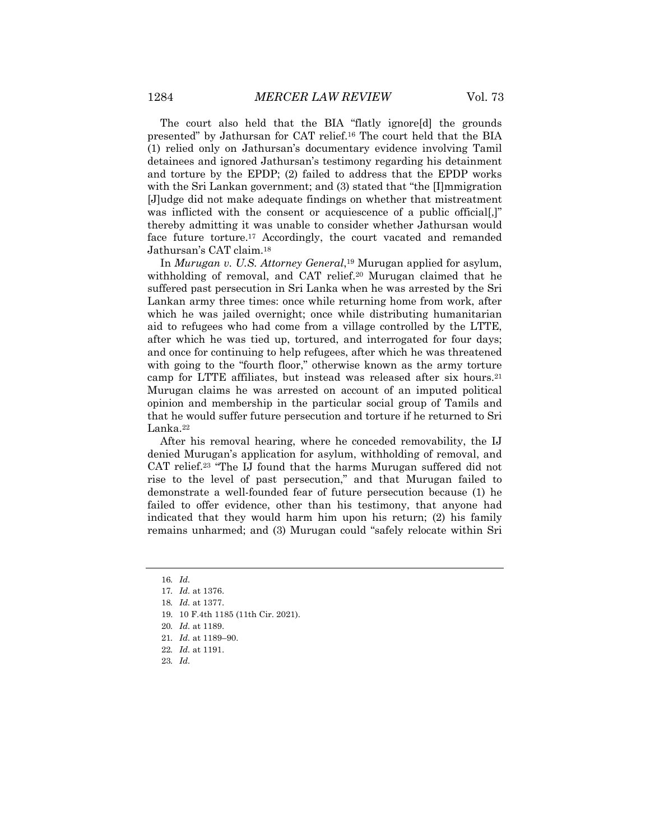The court also held that the BIA "flatly ignore[d] the grounds presented" by Jathursan for CAT relief.16 The court held that the BIA (1) relied only on Jathursan's documentary evidence involving Tamil detainees and ignored Jathursan's testimony regarding his detainment and torture by the EPDP; (2) failed to address that the EPDP works with the Sri Lankan government; and (3) stated that "the [I]mmigration [J]udge did not make adequate findings on whether that mistreatment was inflicted with the consent or acquiescence of a public official. thereby admitting it was unable to consider whether Jathursan would face future torture.17 Accordingly, the court vacated and remanded Jathursan's CAT claim.18

In *Murugan v. U.S. Attorney General*,19 Murugan applied for asylum, withholding of removal, and CAT relief.<sup>20</sup> Murugan claimed that he suffered past persecution in Sri Lanka when he was arrested by the Sri Lankan army three times: once while returning home from work, after which he was jailed overnight; once while distributing humanitarian aid to refugees who had come from a village controlled by the LTTE, after which he was tied up, tortured, and interrogated for four days; and once for continuing to help refugees, after which he was threatened with going to the "fourth floor," otherwise known as the army torture camp for LTTE affiliates, but instead was released after six hours.21 Murugan claims he was arrested on account of an imputed political opinion and membership in the particular social group of Tamils and that he would suffer future persecution and torture if he returned to Sri Lanka.22

After his removal hearing, where he conceded removability, the IJ denied Murugan's application for asylum, withholding of removal, and CAT relief.23 "The IJ found that the harms Murugan suffered did not rise to the level of past persecution," and that Murugan failed to demonstrate a well-founded fear of future persecution because (1) he failed to offer evidence, other than his testimony, that anyone had indicated that they would harm him upon his return; (2) his family remains unharmed; and (3) Murugan could "safely relocate within Sri

- 19. 10 F.4th 1185 (11th Cir. 2021).
- 20*. Id.* at 1189.
- 21*. Id.* at 1189–90.
- 22*. Id.* at 1191.
- 23*. Id.*

<sup>16</sup>*. Id.*

<sup>17</sup>*. Id.* at 1376.

<sup>18</sup>*. Id.* at 1377.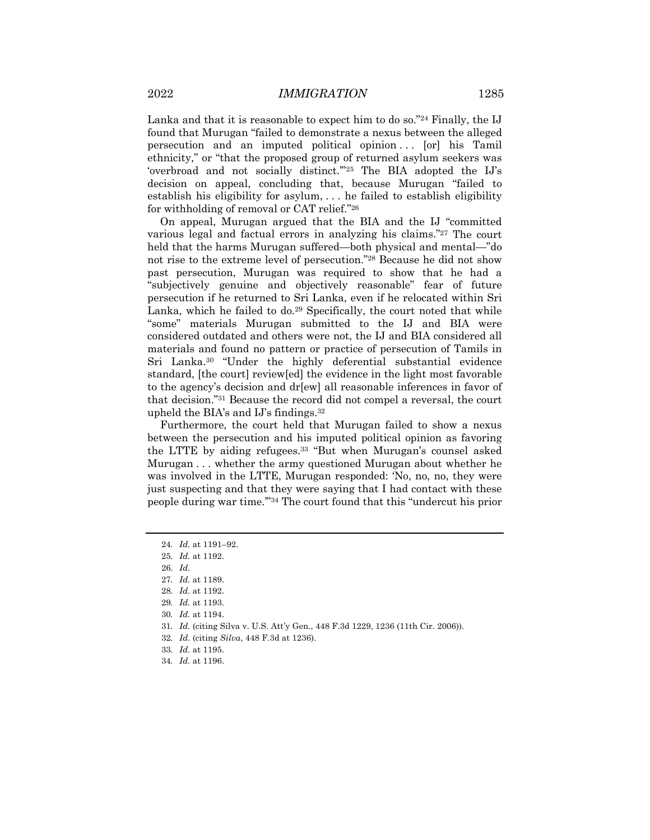Lanka and that it is reasonable to expect him to do so.<sup>"24</sup> Finally, the IJ found that Murugan "failed to demonstrate a nexus between the alleged persecution and an imputed political opinion ... [or] his Tamil ethnicity," or "that the proposed group of returned asylum seekers was 'overbroad and not socially distinct.'"25 The BIA adopted the IJ's decision on appeal, concluding that, because Murugan "failed to establish his eligibility for asylum, . . . he failed to establish eligibility for withholding of removal or CAT relief."26

On appeal, Murugan argued that the BIA and the IJ "committed various legal and factual errors in analyzing his claims."27 The court held that the harms Murugan suffered—both physical and mental—"do not rise to the extreme level of persecution."28 Because he did not show past persecution, Murugan was required to show that he had a "subjectively genuine and objectively reasonable" fear of future persecution if he returned to Sri Lanka, even if he relocated within Sri Lanka, which he failed to do.<sup>29</sup> Specifically, the court noted that while "some" materials Murugan submitted to the IJ and BIA were considered outdated and others were not, the IJ and BIA considered all materials and found no pattern or practice of persecution of Tamils in Sri Lanka.30 "Under the highly deferential substantial evidence standard, [the court] review[ed] the evidence in the light most favorable to the agency's decision and dr[ew] all reasonable inferences in favor of that decision."31 Because the record did not compel a reversal, the court upheld the BIA's and IJ's findings.32

Furthermore, the court held that Murugan failed to show a nexus between the persecution and his imputed political opinion as favoring the LTTE by aiding refugees.33 "But when Murugan's counsel asked Murugan . . . whether the army questioned Murugan about whether he was involved in the LTTE, Murugan responded: 'No, no, no, they were just suspecting and that they were saying that I had contact with these people during war time.'"34 The court found that this "undercut his prior

- 31*. Id.* (citing Silva v. U.S. Att'y Gen., 448 F.3d 1229, 1236 (11th Cir. 2006)).
- 32*. Id.* (citing *Silva*, 448 F.3d at 1236).
- 33*. Id.* at 1195.
- 34*. Id.* at 1196.

<sup>24</sup>*. Id.* at 1191–92.

<sup>25</sup>*. Id.* at 1192.

<sup>26</sup>*. Id.*

<sup>27</sup>*. Id.* at 1189.

<sup>28</sup>*. Id.* at 1192.

<sup>29</sup>*. Id.* at 1193.

<sup>30</sup>*. Id.* at 1194.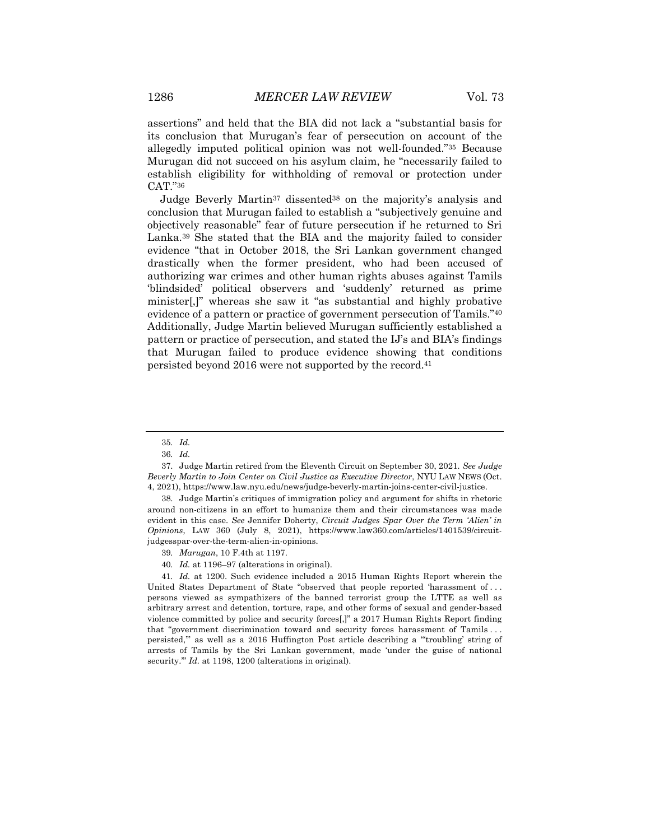assertions" and held that the BIA did not lack a "substantial basis for its conclusion that Murugan's fear of persecution on account of the allegedly imputed political opinion was not well-founded."35 Because Murugan did not succeed on his asylum claim, he "necessarily failed to establish eligibility for withholding of removal or protection under CAT."36

Judge Beverly Martin37 dissented38 on the majority's analysis and conclusion that Murugan failed to establish a "subjectively genuine and objectively reasonable" fear of future persecution if he returned to Sri Lanka.39 She stated that the BIA and the majority failed to consider evidence "that in October 2018, the Sri Lankan government changed drastically when the former president, who had been accused of authorizing war crimes and other human rights abuses against Tamils 'blindsided' political observers and 'suddenly' returned as prime minister[,]" whereas she saw it "as substantial and highly probative evidence of a pattern or practice of government persecution of Tamils."40 Additionally, Judge Martin believed Murugan sufficiently established a pattern or practice of persecution, and stated the IJ's and BIA's findings that Murugan failed to produce evidence showing that conditions persisted beyond 2016 were not supported by the record.41

40*. Id.* at 1196–97 (alterations in original).

41*. Id.* at 1200. Such evidence included a 2015 Human Rights Report wherein the United States Department of State "observed that people reported 'harassment of . . . persons viewed as sympathizers of the banned terrorist group the LTTE as well as arbitrary arrest and detention, torture, rape, and other forms of sexual and gender-based violence committed by police and security forces[,]" a 2017 Human Rights Report finding that "government discrimination toward and security forces harassment of Tamils . . . persisted,'" as well as a 2016 Huffington Post article describing a "'troubling' string of arrests of Tamils by the Sri Lankan government, made 'under the guise of national security." *Id.* at 1198, 1200 (alterations in original).

<sup>35</sup>*. Id.*

<sup>36</sup>*. Id.*

<sup>37.</sup> Judge Martin retired from the Eleventh Circuit on September 30, 2021*. See Judge Beverly Martin to Join Center on Civil Justice as Executive Director*, NYU LAW NEWS (Oct. 4, 2021), https://www.law.nyu.edu/news/judge-beverly-martin-joins-center-civil-justice.

<sup>38.</sup> Judge Martin's critiques of immigration policy and argument for shifts in rhetoric around non-citizens in an effort to humanize them and their circumstances was made evident in this case. *See* Jennifer Doherty, *Circuit Judges Spar Over the Term 'Alien' in Opinions*, LAW 360 (July 8, 2021), https://www.law360.com/articles/1401539/circuitjudgesspar-over-the-term-alien-in-opinions.

<sup>39</sup>*. Marugan*, 10 F.4th at 1197.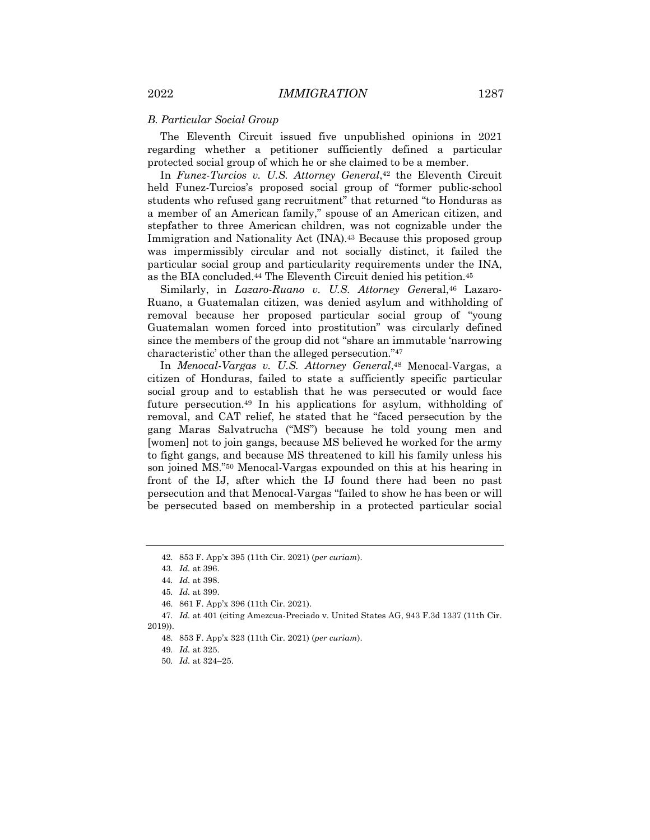#### *B. Particular Social Group*

The Eleventh Circuit issued five unpublished opinions in 2021 regarding whether a petitioner sufficiently defined a particular protected social group of which he or she claimed to be a member.

In *Funez-Turcios v. U.S. Attorney General*,42 the Eleventh Circuit held Funez-Turcios's proposed social group of "former public-school students who refused gang recruitment" that returned "to Honduras as a member of an American family," spouse of an American citizen, and stepfather to three American children, was not cognizable under the Immigration and Nationality Act (INA).43 Because this proposed group was impermissibly circular and not socially distinct, it failed the particular social group and particularity requirements under the INA, as the BIA concluded.44 The Eleventh Circuit denied his petition.45

Similarly, in *Lazaro-Ruano v. U.S. Attorney General*,<sup>46</sup> Lazaro-Ruano, a Guatemalan citizen, was denied asylum and withholding of removal because her proposed particular social group of "young Guatemalan women forced into prostitution" was circularly defined since the members of the group did not "share an immutable 'narrowing characteristic' other than the alleged persecution."47

In *Menocal-Vargas v. U.S. Attorney General*,48 Menocal-Vargas, a citizen of Honduras, failed to state a sufficiently specific particular social group and to establish that he was persecuted or would face future persecution.49 In his applications for asylum, withholding of removal, and CAT relief, he stated that he "faced persecution by the gang Maras Salvatrucha ("MS") because he told young men and [women] not to join gangs, because MS believed he worked for the army to fight gangs, and because MS threatened to kill his family unless his son joined MS."50 Menocal-Vargas expounded on this at his hearing in front of the IJ, after which the IJ found there had been no past persecution and that Menocal-Vargas "failed to show he has been or will be persecuted based on membership in a protected particular social

47*. Id.* at 401 (citing Amezcua-Preciado v. United States AG, 943 F.3d 1337 (11th Cir. 2019)).

<sup>42.</sup> 853 F. App'x 395 (11th Cir. 2021) (*per curiam*).

<sup>43</sup>*. Id.* at 396.

<sup>44</sup>*. Id.* at 398.

<sup>45</sup>*. Id.* at 399.

<sup>46.</sup> 861 F. App'x 396 (11th Cir. 2021).

<sup>48.</sup> 853 F. App'x 323 (11th Cir. 2021) (*per curiam*).

<sup>49</sup>*. Id.* at 325.

<sup>50</sup>*. Id.* at 324–25.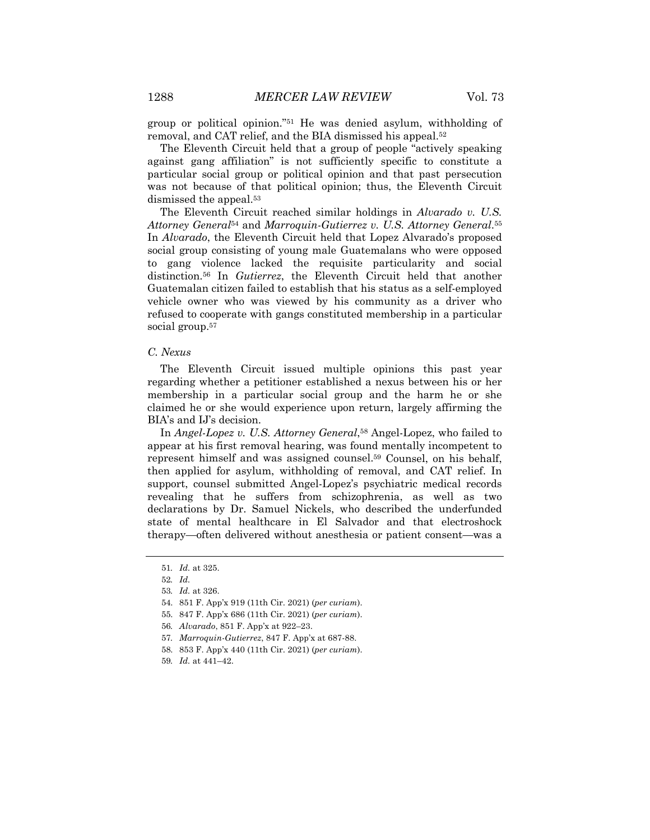group or political opinion."51 He was denied asylum, withholding of removal, and CAT relief, and the BIA dismissed his appeal.52

The Eleventh Circuit held that a group of people "actively speaking against gang affiliation" is not sufficiently specific to constitute a particular social group or political opinion and that past persecution was not because of that political opinion; thus, the Eleventh Circuit dismissed the appeal.<sup>53</sup>

The Eleventh Circuit reached similar holdings in *Alvarado v. U.S. Attorney General*<sup>54</sup> and *Marroquin-Gutierrez v. U.S. Attorney General*.55 In *Alvarado*, the Eleventh Circuit held that Lopez Alvarado's proposed social group consisting of young male Guatemalans who were opposed to gang violence lacked the requisite particularity and social distinction.56 In *Gutierrez*, the Eleventh Circuit held that another Guatemalan citizen failed to establish that his status as a self-employed vehicle owner who was viewed by his community as a driver who refused to cooperate with gangs constituted membership in a particular social group.<sup>57</sup>

## *C. Nexus*

The Eleventh Circuit issued multiple opinions this past year regarding whether a petitioner established a nexus between his or her membership in a particular social group and the harm he or she claimed he or she would experience upon return, largely affirming the BIA's and IJ's decision.

In *Angel-Lopez v. U.S. Attorney General*,<sup>58</sup> Angel-Lopez, who failed to appear at his first removal hearing, was found mentally incompetent to represent himself and was assigned counsel.59 Counsel, on his behalf, then applied for asylum, withholding of removal, and CAT relief. In support, counsel submitted Angel-Lopez's psychiatric medical records revealing that he suffers from schizophrenia, as well as two declarations by Dr. Samuel Nickels, who described the underfunded state of mental healthcare in El Salvador and that electroshock therapy—often delivered without anesthesia or patient consent—was a

<sup>51</sup>*. Id.* at 325.

<sup>52</sup>*. Id.*

<sup>53</sup>*. Id.* at 326.

<sup>54.</sup> 851 F. App'x 919 (11th Cir. 2021) (*per curiam*).

<sup>55.</sup> 847 F. App'x 686 (11th Cir. 2021) (*per curiam*).

<sup>56</sup>*. Alvarado*, 851 F. App'x at 922–23.

<sup>57</sup>*. Marroquin-Gutierrez*, 847 F. App'x at 687-88.

<sup>58.</sup> 853 F. App'x 440 (11th Cir. 2021) (*per curiam*).

<sup>59</sup>*. Id.* at 441–42.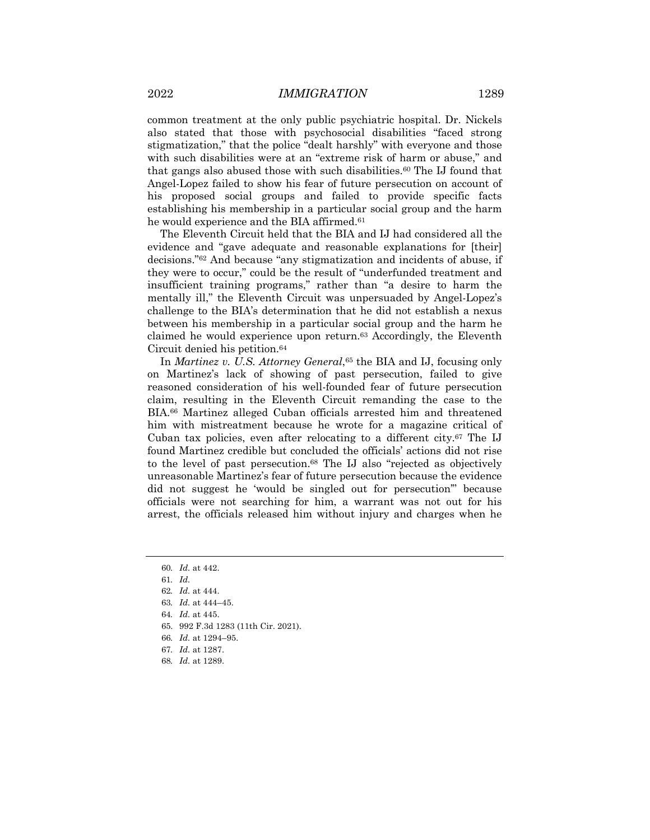common treatment at the only public psychiatric hospital. Dr. Nickels also stated that those with psychosocial disabilities "faced strong stigmatization," that the police "dealt harshly" with everyone and those with such disabilities were at an "extreme risk of harm or abuse," and that gangs also abused those with such disabilities.60 The IJ found that Angel-Lopez failed to show his fear of future persecution on account of his proposed social groups and failed to provide specific facts establishing his membership in a particular social group and the harm he would experience and the BIA affirmed.<sup>61</sup>

The Eleventh Circuit held that the BIA and IJ had considered all the evidence and "gave adequate and reasonable explanations for [their] decisions."62 And because "any stigmatization and incidents of abuse, if they were to occur," could be the result of "underfunded treatment and insufficient training programs," rather than "a desire to harm the mentally ill," the Eleventh Circuit was unpersuaded by Angel-Lopez's challenge to the BIA's determination that he did not establish a nexus between his membership in a particular social group and the harm he claimed he would experience upon return.63 Accordingly, the Eleventh Circuit denied his petition.64

In *Martinez v. U.S. Attorney General*,<sup>65</sup> the BIA and IJ, focusing only on Martinez's lack of showing of past persecution, failed to give reasoned consideration of his well-founded fear of future persecution claim, resulting in the Eleventh Circuit remanding the case to the BIA.66 Martinez alleged Cuban officials arrested him and threatened him with mistreatment because he wrote for a magazine critical of Cuban tax policies, even after relocating to a different city.67 The IJ found Martinez credible but concluded the officials' actions did not rise to the level of past persecution.68 The IJ also "rejected as objectively unreasonable Martinez's fear of future persecution because the evidence did not suggest he 'would be singled out for persecution'" because officials were not searching for him, a warrant was not out for his arrest, the officials released him without injury and charges when he

- 64*. Id.* at 445.
- 65. 992 F.3d 1283 (11th Cir. 2021).
- 66*. Id.* at 1294–95.
- 67*. Id.* at 1287.
- 68*. Id.* at 1289.

<sup>60</sup>*. Id.* at 442.

<sup>61</sup>*. Id.*

<sup>62</sup>*. Id.* at 444.

<sup>63</sup>*. Id.* at 444–45.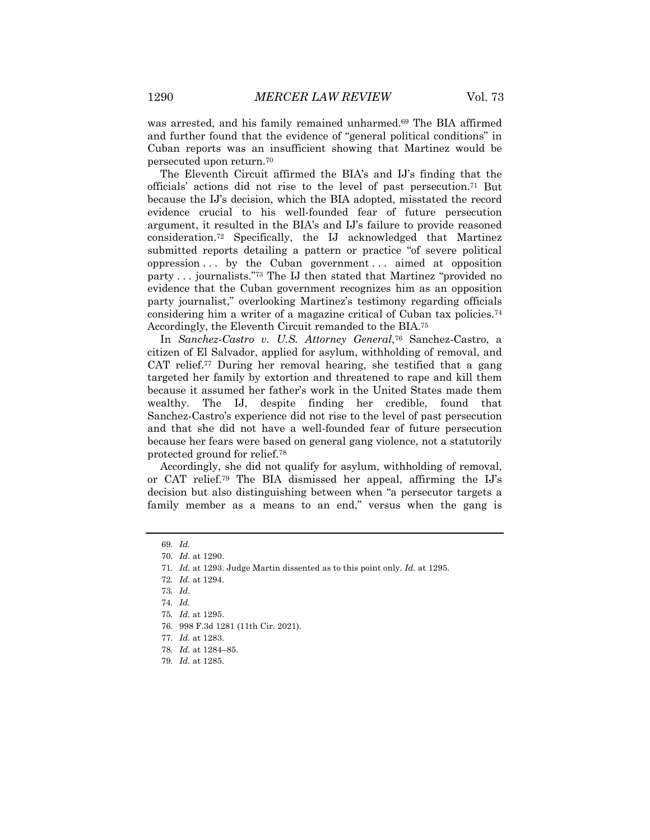was arrested, and his family remained unharmed.69 The BIA affirmed and further found that the evidence of "general political conditions" in Cuban reports was an insufficient showing that Martinez would be persecuted upon return.70

The Eleventh Circuit affirmed the BIA's and IJ's finding that the officials' actions did not rise to the level of past persecution.71 But because the IJ's decision, which the BIA adopted, misstated the record evidence crucial to his well-founded fear of future persecution argument, it resulted in the BIA's and IJ's failure to provide reasoned consideration.72 Specifically, the IJ acknowledged that Martinez submitted reports detailing a pattern or practice "of severe political oppression . . . by the Cuban government . . . aimed at opposition party . . . journalists."73 The IJ then stated that Martinez "provided no evidence that the Cuban government recognizes him as an opposition party journalist," overlooking Martinez's testimony regarding officials considering him a writer of a magazine critical of Cuban tax policies.74 Accordingly, the Eleventh Circuit remanded to the BIA.75

In *Sanchez-Castro v. U.S. Attorney General*,76 Sanchez-Castro, a citizen of El Salvador, applied for asylum, withholding of removal, and CAT relief.77 During her removal hearing, she testified that a gang targeted her family by extortion and threatened to rape and kill them because it assumed her father's work in the United States made them wealthy. The IJ, despite finding her credible, found that Sanchez-Castro's experience did not rise to the level of past persecution and that she did not have a well-founded fear of future persecution because her fears were based on general gang violence, not a statutorily protected ground for relief.78

Accordingly, she did not qualify for asylum, withholding of removal, or CAT relief.79 The BIA dismissed her appeal, affirming the IJ's decision but also distinguishing between when "a persecutor targets a family member as a means to an end," versus when the gang is

<sup>69</sup>*. Id.*

<sup>70</sup>*. Id.* at 1290.

<sup>71</sup>*. Id.* at 1293. Judge Martin dissented as to this point only. *Id.* at 1295.

<sup>72</sup>*. Id.* at 1294.

<sup>73</sup>*. Id.*

<sup>74</sup>*. Id.*

<sup>75</sup>*. Id.* at 1295.

<sup>76.</sup> 998 F.3d 1281 (11th Cir. 2021).

<sup>77</sup>*. Id.* at 1283.

<sup>78</sup>*. Id.* at 1284–85.

<sup>79</sup>*. Id.* at 1285.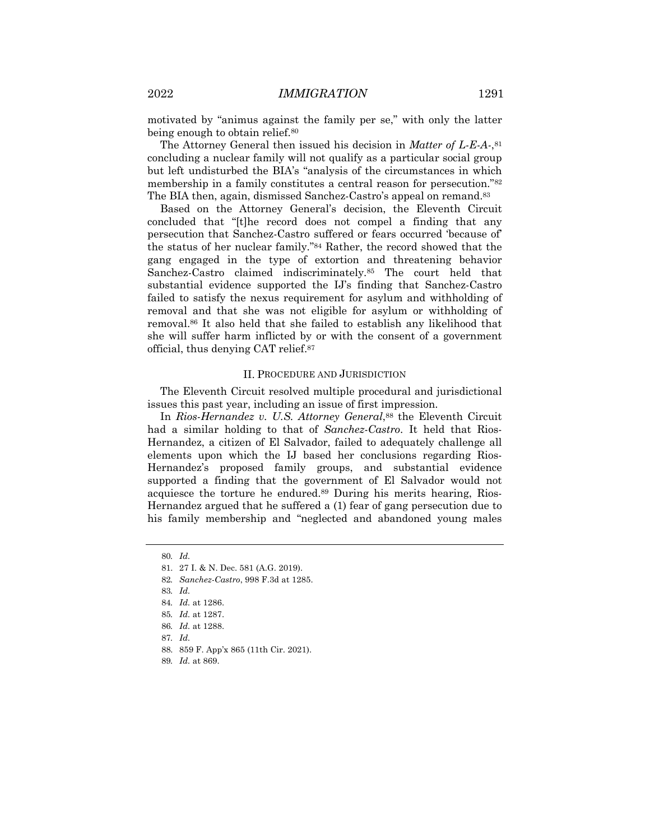motivated by "animus against the family per se," with only the latter being enough to obtain relief.<sup>80</sup>

The Attorney General then issued his decision in *Matter of L-E-A-*,81 concluding a nuclear family will not qualify as a particular social group but left undisturbed the BIA's "analysis of the circumstances in which membership in a family constitutes a central reason for persecution."82 The BIA then, again, dismissed Sanchez-Castro's appeal on remand.83

Based on the Attorney General's decision, the Eleventh Circuit concluded that "[t]he record does not compel a finding that any persecution that Sanchez-Castro suffered or fears occurred 'because of' the status of her nuclear family."84 Rather, the record showed that the gang engaged in the type of extortion and threatening behavior Sanchez-Castro claimed indiscriminately.85 The court held that substantial evidence supported the IJ's finding that Sanchez-Castro failed to satisfy the nexus requirement for asylum and withholding of removal and that she was not eligible for asylum or withholding of removal.86 It also held that she failed to establish any likelihood that she will suffer harm inflicted by or with the consent of a government official, thus denying CAT relief.87

#### II. PROCEDURE AND JURISDICTION

The Eleventh Circuit resolved multiple procedural and jurisdictional issues this past year, including an issue of first impression.

In *Rios-Hernandez v. U.S. Attorney General*,<sup>88</sup> the Eleventh Circuit had a similar holding to that of *Sanchez-Castro*. It held that Rios-Hernandez, a citizen of El Salvador, failed to adequately challenge all elements upon which the IJ based her conclusions regarding Rios-Hernandez's proposed family groups, and substantial evidence supported a finding that the government of El Salvador would not acquiesce the torture he endured.89 During his merits hearing, Rios-Hernandez argued that he suffered a (1) fear of gang persecution due to his family membership and "neglected and abandoned young males

- 88. 859 F. App'x 865 (11th Cir. 2021).
- 89*. Id.* at 869.

<sup>80</sup>*. Id.*

<sup>81.</sup> 27 I. & N. Dec. 581 (A.G. 2019).

<sup>82</sup>*. Sanchez-Castro*, 998 F.3d at 1285.

<sup>83</sup>*. Id.*

<sup>84</sup>*. Id.* at 1286.

<sup>85</sup>*. Id.* at 1287.

<sup>86</sup>*. Id.* at 1288.

<sup>87</sup>*. Id.*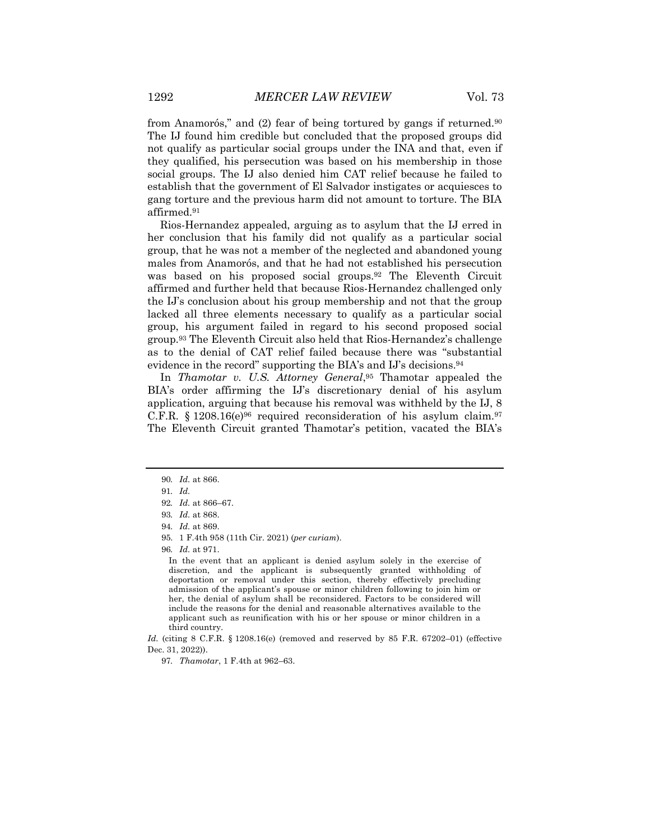from Anamorós," and (2) fear of being tortured by gangs if returned.<sup>90</sup> The IJ found him credible but concluded that the proposed groups did not qualify as particular social groups under the INA and that, even if they qualified, his persecution was based on his membership in those social groups. The IJ also denied him CAT relief because he failed to establish that the government of El Salvador instigates or acquiesces to gang torture and the previous harm did not amount to torture. The BIA affirmed.91

Rios-Hernandez appealed, arguing as to asylum that the IJ erred in her conclusion that his family did not qualify as a particular social group, that he was not a member of the neglected and abandoned young males from Anamorós, and that he had not established his persecution was based on his proposed social groups.92 The Eleventh Circuit affirmed and further held that because Rios-Hernandez challenged only the IJ's conclusion about his group membership and not that the group lacked all three elements necessary to qualify as a particular social group, his argument failed in regard to his second proposed social group.93 The Eleventh Circuit also held that Rios-Hernandez's challenge as to the denial of CAT relief failed because there was "substantial evidence in the record" supporting the BIA's and IJ's decisions.94

In *Thamotar v. U.S. Attorney General*,95 Thamotar appealed the BIA's order affirming the IJ's discretionary denial of his asylum application, arguing that because his removal was withheld by the IJ, 8 C.F.R.  $§$  1208.16(e)<sup>96</sup> required reconsideration of his asylum claim.<sup>97</sup> The Eleventh Circuit granted Thamotar's petition, vacated the BIA's

96*. Id.* at 971.

<sup>90</sup>*. Id.* at 866.

<sup>91</sup>*. Id.*

<sup>92</sup>*. Id.* at 866–67.

<sup>93</sup>*. Id.* at 868.

<sup>94</sup>*. Id.* at 869.

<sup>95.</sup> 1 F.4th 958 (11th Cir. 2021) (*per curiam*).

In the event that an applicant is denied asylum solely in the exercise of discretion, and the applicant is subsequently granted withholding of deportation or removal under this section, thereby effectively precluding admission of the applicant's spouse or minor children following to join him or her, the denial of asylum shall be reconsidered. Factors to be considered will include the reasons for the denial and reasonable alternatives available to the applicant such as reunification with his or her spouse or minor children in a third country.

*Id.* (citing 8 C.F.R. § 1208.16(e) (removed and reserved by 85 F.R. 67202-01) (effective Dec. 31, 2022)).

<sup>97</sup>*. Thamotar*, 1 F.4th at 962–63.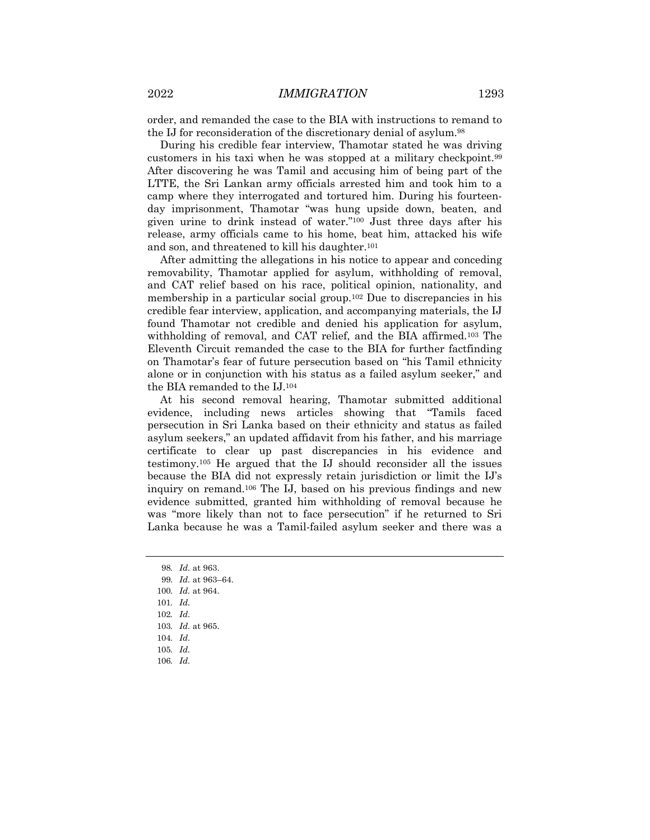order, and remanded the case to the BIA with instructions to remand to the IJ for reconsideration of the discretionary denial of asylum.98

During his credible fear interview, Thamotar stated he was driving customers in his taxi when he was stopped at a military checkpoint.99 After discovering he was Tamil and accusing him of being part of the LTTE, the Sri Lankan army officials arrested him and took him to a camp where they interrogated and tortured him. During his fourteenday imprisonment, Thamotar "was hung upside down, beaten, and given urine to drink instead of water."100 Just three days after his release, army officials came to his home, beat him, attacked his wife and son, and threatened to kill his daughter.101

After admitting the allegations in his notice to appear and conceding removability, Thamotar applied for asylum, withholding of removal, and CAT relief based on his race, political opinion, nationality, and membership in a particular social group.102 Due to discrepancies in his credible fear interview, application, and accompanying materials, the IJ found Thamotar not credible and denied his application for asylum, withholding of removal, and CAT relief, and the BIA affirmed.<sup>103</sup> The Eleventh Circuit remanded the case to the BIA for further factfinding on Thamotar's fear of future persecution based on "his Tamil ethnicity alone or in conjunction with his status as a failed asylum seeker," and the BIA remanded to the IJ.104

At his second removal hearing, Thamotar submitted additional evidence, including news articles showing that "Tamils faced persecution in Sri Lanka based on their ethnicity and status as failed asylum seekers," an updated affidavit from his father, and his marriage certificate to clear up past discrepancies in his evidence and testimony.105 He argued that the IJ should reconsider all the issues because the BIA did not expressly retain jurisdiction or limit the IJ's inquiry on remand.106 The IJ, based on his previous findings and new evidence submitted, granted him withholding of removal because he was "more likely than not to face persecution" if he returned to Sri Lanka because he was a Tamil-failed asylum seeker and there was a

- 99*. Id.* at 963–64.
- 100*. Id.* at 964.
- 101*. Id.*
- 102*. Id.*
- 103*. Id.* at 965.
- 104*. Id.*
- 105*. Id.*
- 106*. Id.*

<sup>98</sup>*. Id.* at 963.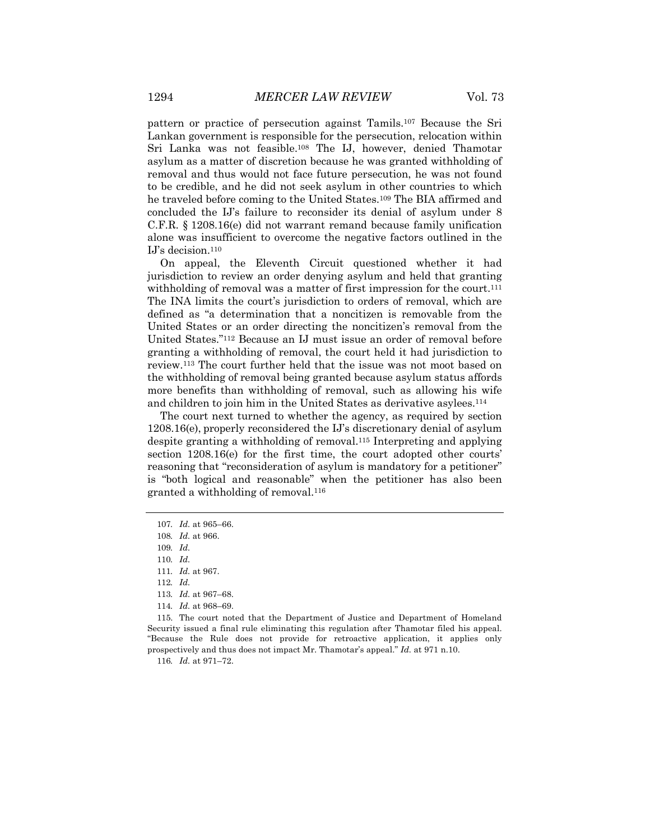pattern or practice of persecution against Tamils.107 Because the Sri Lankan government is responsible for the persecution, relocation within Sri Lanka was not feasible.108 The IJ, however, denied Thamotar asylum as a matter of discretion because he was granted withholding of removal and thus would not face future persecution, he was not found to be credible, and he did not seek asylum in other countries to which he traveled before coming to the United States.109 The BIA affirmed and concluded the IJ's failure to reconsider its denial of asylum under 8 C.F.R. § 1208.16(e) did not warrant remand because family unification alone was insufficient to overcome the negative factors outlined in the IJ's decision.110

On appeal, the Eleventh Circuit questioned whether it had jurisdiction to review an order denying asylum and held that granting withholding of removal was a matter of first impression for the court.<sup>111</sup> The INA limits the court's jurisdiction to orders of removal, which are defined as "a determination that a noncitizen is removable from the United States or an order directing the noncitizen's removal from the United States."112 Because an IJ must issue an order of removal before granting a withholding of removal, the court held it had jurisdiction to review.113 The court further held that the issue was not moot based on the withholding of removal being granted because asylum status affords more benefits than withholding of removal, such as allowing his wife and children to join him in the United States as derivative asylees.114

The court next turned to whether the agency, as required by section 1208.16(e), properly reconsidered the IJ's discretionary denial of asylum despite granting a withholding of removal.115 Interpreting and applying section 1208.16(e) for the first time, the court adopted other courts' reasoning that "reconsideration of asylum is mandatory for a petitioner" is "both logical and reasonable" when the petitioner has also been granted a withholding of removal.116

- 113*. Id.* at 967–68.
- 114*. Id.* at 968–69.

115. The court noted that the Department of Justice and Department of Homeland Security issued a final rule eliminating this regulation after Thamotar filed his appeal. "Because the Rule does not provide for retroactive application, it applies only prospectively and thus does not impact Mr. Thamotar's appeal." *Id.* at 971 n.10.

116*. Id.* at 971–72.

<sup>107</sup>*. Id.* at 965–66.

<sup>108</sup>*. Id.* at 966.

<sup>109</sup>*. Id.*

<sup>110</sup>*. Id.*

<sup>111</sup>*. Id.* at 967.

<sup>112</sup>*. Id.*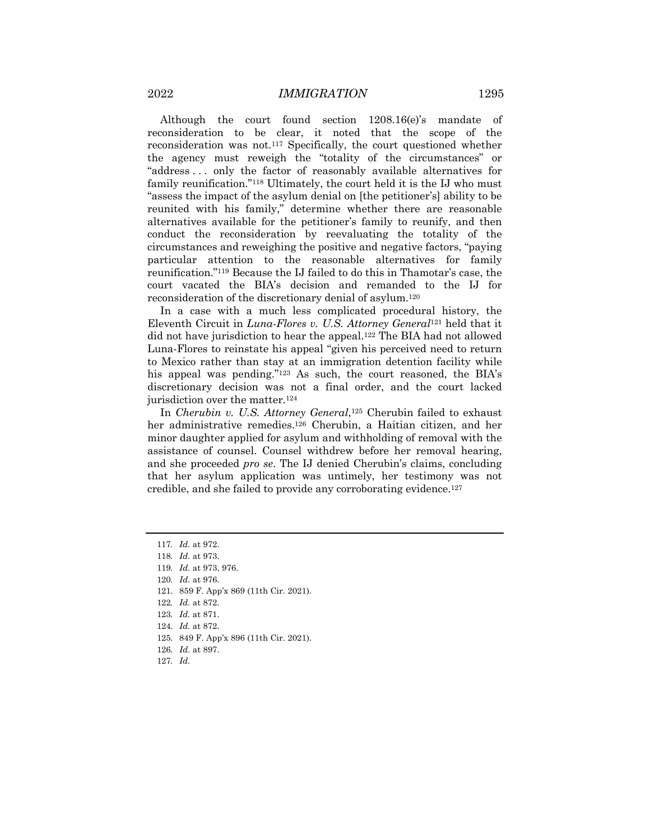Although the court found section 1208.16(e)'s mandate of reconsideration to be clear, it noted that the scope of the reconsideration was not.117 Specifically, the court questioned whether the agency must reweigh the "totality of the circumstances" or "address . . . only the factor of reasonably available alternatives for family reunification."118 Ultimately, the court held it is the IJ who must "assess the impact of the asylum denial on [the petitioner's] ability to be reunited with his family," determine whether there are reasonable alternatives available for the petitioner's family to reunify, and then conduct the reconsideration by reevaluating the totality of the circumstances and reweighing the positive and negative factors, "paying particular attention to the reasonable alternatives for family reunification."119 Because the IJ failed to do this in Thamotar's case, the court vacated the BIA's decision and remanded to the IJ for reconsideration of the discretionary denial of asylum.120

In a case with a much less complicated procedural history, the Eleventh Circuit in *Luna-Flores v. U.S. Attorney General*<sup>121</sup> held that it did not have jurisdiction to hear the appeal.122 The BIA had not allowed Luna-Flores to reinstate his appeal "given his perceived need to return to Mexico rather than stay at an immigration detention facility while his appeal was pending."<sup>123</sup> As such, the court reasoned, the BIA's discretionary decision was not a final order, and the court lacked jurisdiction over the matter.124

In *Cherubin v. U.S. Attorney General*,125 Cherubin failed to exhaust her administrative remedies.126 Cherubin, a Haitian citizen, and her minor daughter applied for asylum and withholding of removal with the assistance of counsel. Counsel withdrew before her removal hearing, and she proceeded *pro se*. The IJ denied Cherubin's claims, concluding that her asylum application was untimely, her testimony was not credible, and she failed to provide any corroborating evidence.127

123*. Id.* at 871.

- 125. 849 F. App'x 896 (11th Cir. 2021).
- 126*. Id.* at 897.
- 127*. Id.*

<sup>117</sup>*. Id.* at 972.

<sup>118</sup>*. Id.* at 973.

<sup>119</sup>*. Id.* at 973, 976.

<sup>120</sup>*. Id.* at 976.

<sup>121.</sup> 859 F. App'x 869 (11th Cir. 2021).

<sup>122</sup>*. Id.* at 872.

<sup>124</sup>*. Id.* at 872.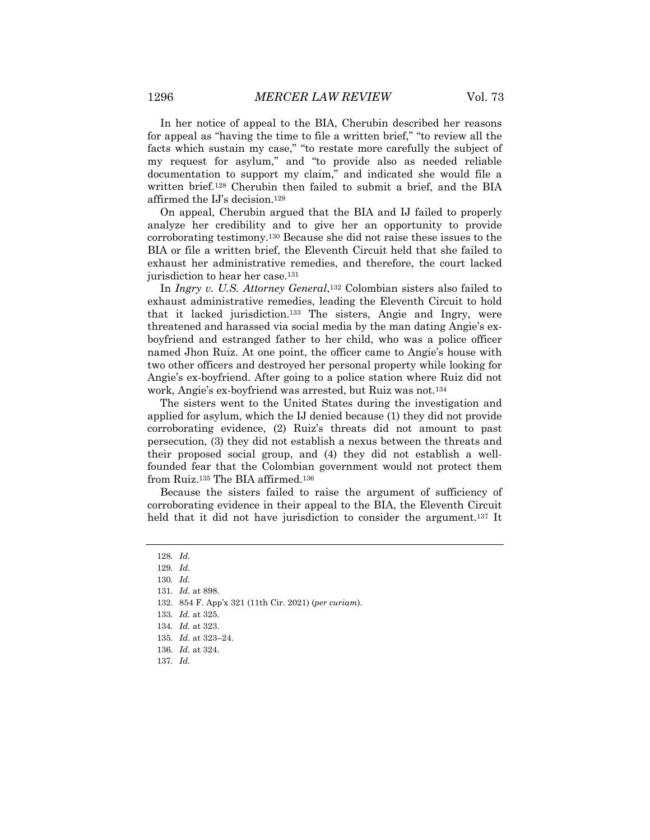In her notice of appeal to the BIA, Cherubin described her reasons for appeal as "having the time to file a written brief," "to review all the facts which sustain my case," "to restate more carefully the subject of my request for asylum," and "to provide also as needed reliable documentation to support my claim," and indicated she would file a written brief.128 Cherubin then failed to submit a brief, and the BIA affirmed the IJ's decision.129

On appeal, Cherubin argued that the BIA and IJ failed to properly analyze her credibility and to give her an opportunity to provide corroborating testimony.130 Because she did not raise these issues to the BIA or file a written brief, the Eleventh Circuit held that she failed to exhaust her administrative remedies, and therefore, the court lacked jurisdiction to hear her case.<sup>131</sup>

In *Ingry v. U.S. Attorney General*,132 Colombian sisters also failed to exhaust administrative remedies, leading the Eleventh Circuit to hold that it lacked jurisdiction.133 The sisters, Angie and Ingry, were threatened and harassed via social media by the man dating Angie's exboyfriend and estranged father to her child, who was a police officer named Jhon Ruiz. At one point, the officer came to Angie's house with two other officers and destroyed her personal property while looking for Angie's ex-boyfriend. After going to a police station where Ruiz did not work, Angie's ex-boyfriend was arrested, but Ruiz was not.134

The sisters went to the United States during the investigation and applied for asylum, which the IJ denied because (1) they did not provide corroborating evidence, (2) Ruiz's threats did not amount to past persecution, (3) they did not establish a nexus between the threats and their proposed social group, and (4) they did not establish a wellfounded fear that the Colombian government would not protect them from Ruiz.135 The BIA affirmed.136

Because the sisters failed to raise the argument of sufficiency of corroborating evidence in their appeal to the BIA, the Eleventh Circuit held that it did not have jurisdiction to consider the argument.<sup>137</sup> It

132. 854 F. App'x 321 (11th Cir. 2021) (*per curiam*).

<sup>128</sup>*. Id.*

<sup>129</sup>*. Id.*

<sup>130</sup>*. Id.*

<sup>131</sup>*. Id.* at 898.

<sup>133</sup>*. Id.* at 325.

<sup>134</sup>*. Id.* at 323.

<sup>135</sup>*. Id.* at 323–24.

<sup>136</sup>*. Id.* at 324.

<sup>137</sup>*. Id.*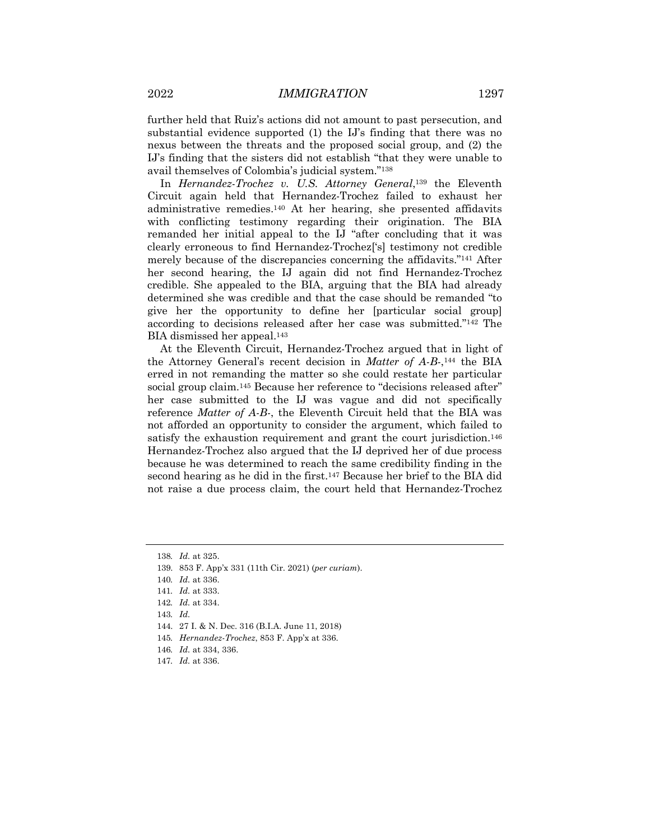further held that Ruiz's actions did not amount to past persecution, and substantial evidence supported (1) the IJ's finding that there was no nexus between the threats and the proposed social group, and (2) the IJ's finding that the sisters did not establish "that they were unable to avail themselves of Colombia's judicial system."138

In *Hernandez-Trochez v. U.S. Attorney General*,139 the Eleventh Circuit again held that Hernandez-Trochez failed to exhaust her administrative remedies.140 At her hearing, she presented affidavits with conflicting testimony regarding their origination. The BIA remanded her initial appeal to the IJ "after concluding that it was clearly erroneous to find Hernandez-Trochez['s] testimony not credible merely because of the discrepancies concerning the affidavits."141 After her second hearing, the IJ again did not find Hernandez-Trochez credible. She appealed to the BIA, arguing that the BIA had already determined she was credible and that the case should be remanded "to give her the opportunity to define her [particular social group] according to decisions released after her case was submitted."142 The BIA dismissed her appeal.143

At the Eleventh Circuit, Hernandez-Trochez argued that in light of the Attorney General's recent decision in *Matter of A-B-*,144 the BIA erred in not remanding the matter so she could restate her particular social group claim.145 Because her reference to "decisions released after" her case submitted to the IJ was vague and did not specifically reference *Matter of A-B-*, the Eleventh Circuit held that the BIA was not afforded an opportunity to consider the argument, which failed to satisfy the exhaustion requirement and grant the court jurisdiction.<sup>146</sup> Hernandez-Trochez also argued that the IJ deprived her of due process because he was determined to reach the same credibility finding in the second hearing as he did in the first.147 Because her brief to the BIA did not raise a due process claim, the court held that Hernandez-Trochez

143*. Id.*

<sup>138</sup>*. Id.* at 325.

<sup>139.</sup> 853 F. App'x 331 (11th Cir. 2021) (*per curiam*).

<sup>140</sup>*. Id.* at 336.

<sup>141</sup>*. Id.* at 333.

<sup>142</sup>*. Id.* at 334.

<sup>144.</sup> 27 I. & N. Dec. 316 (B.I.A. June 11, 2018)

<sup>145</sup>*. Hernandez-Trochez*, 853 F. App'x at 336.

<sup>146</sup>*. Id.* at 334, 336.

<sup>147</sup>*. Id.* at 336.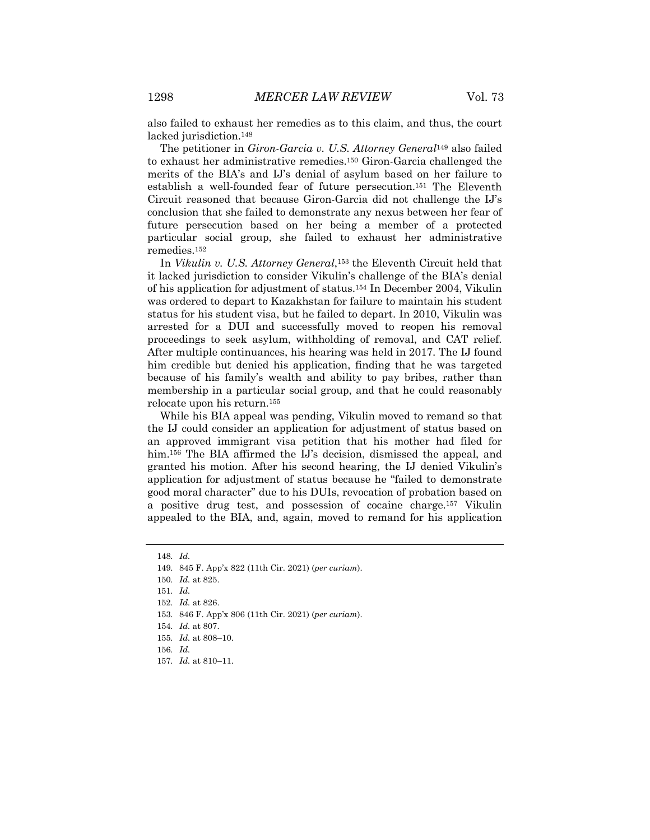also failed to exhaust her remedies as to this claim, and thus, the court lacked jurisdiction.<sup>148</sup>

The petitioner in *Giron-Garcia v. U.S. Attorney General*<sup>149</sup> also failed to exhaust her administrative remedies.150 Giron-Garcia challenged the merits of the BIA's and IJ's denial of asylum based on her failure to establish a well-founded fear of future persecution.151 The Eleventh Circuit reasoned that because Giron-Garcia did not challenge the IJ's conclusion that she failed to demonstrate any nexus between her fear of future persecution based on her being a member of a protected particular social group, she failed to exhaust her administrative remedies.152

In *Vikulin v. U.S. Attorney General*,153 the Eleventh Circuit held that it lacked jurisdiction to consider Vikulin's challenge of the BIA's denial of his application for adjustment of status.154 In December 2004, Vikulin was ordered to depart to Kazakhstan for failure to maintain his student status for his student visa, but he failed to depart. In 2010, Vikulin was arrested for a DUI and successfully moved to reopen his removal proceedings to seek asylum, withholding of removal, and CAT relief. After multiple continuances, his hearing was held in 2017. The IJ found him credible but denied his application, finding that he was targeted because of his family's wealth and ability to pay bribes, rather than membership in a particular social group, and that he could reasonably relocate upon his return.155

While his BIA appeal was pending, Vikulin moved to remand so that the IJ could consider an application for adjustment of status based on an approved immigrant visa petition that his mother had filed for him.<sup>156</sup> The BIA affirmed the IJ's decision, dismissed the appeal, and granted his motion. After his second hearing, the IJ denied Vikulin's application for adjustment of status because he "failed to demonstrate good moral character" due to his DUIs, revocation of probation based on a positive drug test, and possession of cocaine charge.157 Vikulin appealed to the BIA, and, again, moved to remand for his application

<sup>148</sup>*. Id.*

<sup>149.</sup> 845 F. App'x 822 (11th Cir. 2021) (*per curiam*).

<sup>150</sup>*. Id.* at 825.

<sup>151</sup>*. Id.*

<sup>152</sup>*. Id.* at 826.

<sup>153.</sup> 846 F. App'x 806 (11th Cir. 2021) (*per curiam*).

<sup>154</sup>*. Id.* at 807.

<sup>155</sup>*. Id.* at 808–10.

<sup>156</sup>*. Id.*

<sup>157</sup>*. Id.* at 810–11.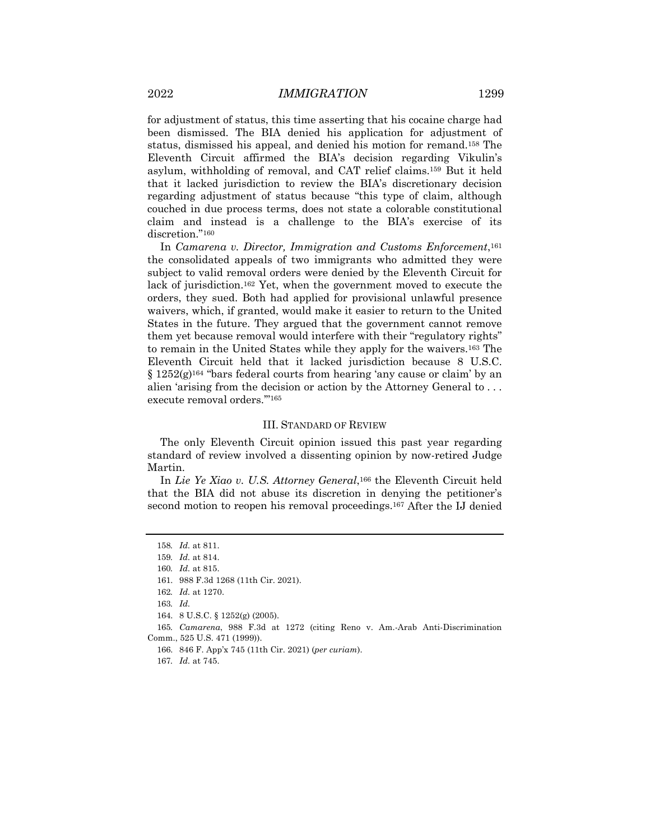for adjustment of status, this time asserting that his cocaine charge had been dismissed. The BIA denied his application for adjustment of status, dismissed his appeal, and denied his motion for remand.158 The Eleventh Circuit affirmed the BIA's decision regarding Vikulin's asylum, withholding of removal, and CAT relief claims.159 But it held that it lacked jurisdiction to review the BIA's discretionary decision regarding adjustment of status because "this type of claim, although couched in due process terms, does not state a colorable constitutional claim and instead is a challenge to the BIA's exercise of its discretion."<sup>160</sup>

In *Camarena v. Director, Immigration and Customs Enforcement*,<sup>161</sup> the consolidated appeals of two immigrants who admitted they were subject to valid removal orders were denied by the Eleventh Circuit for lack of jurisdiction.162 Yet, when the government moved to execute the orders, they sued. Both had applied for provisional unlawful presence waivers, which, if granted, would make it easier to return to the United States in the future. They argued that the government cannot remove them yet because removal would interfere with their "regulatory rights" to remain in the United States while they apply for the waivers.163 The Eleventh Circuit held that it lacked jurisdiction because 8 U.S.C.  $\S 1252(g)$ <sup>164</sup> "bars federal courts from hearing 'any cause or claim' by an alien 'arising from the decision or action by the Attorney General to . . . execute removal orders.'"165

#### III. STANDARD OF REVIEW

The only Eleventh Circuit opinion issued this past year regarding standard of review involved a dissenting opinion by now-retired Judge Martin.

In *Lie Ye Xiao v. U.S. Attorney General*,166 the Eleventh Circuit held that the BIA did not abuse its discretion in denying the petitioner's second motion to reopen his removal proceedings.167 After the IJ denied

166. 846 F. App'x 745 (11th Cir. 2021) (*per curiam*).

<sup>158</sup>*. Id.* at 811.

<sup>159</sup>*. Id.* at 814.

<sup>160</sup>*. Id.* at 815.

<sup>161.</sup> 988 F.3d 1268 (11th Cir. 2021).

<sup>162</sup>*. Id.* at 1270.

<sup>163</sup>*. Id.*

<sup>164.</sup> 8 U.S.C. § 1252(g) (2005).

<sup>165</sup>*. Camarena*, 988 F.3d at 1272 (citing Reno v. Am.-Arab Anti-Discrimination Comm., 525 U.S. 471 (1999)).

<sup>167</sup>*. Id.* at 745.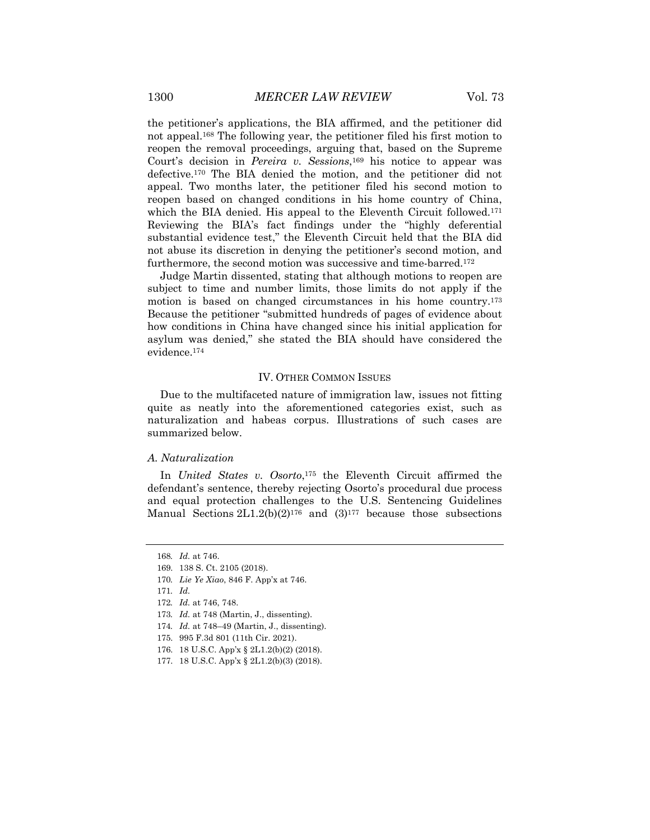the petitioner's applications, the BIA affirmed, and the petitioner did not appeal.168 The following year, the petitioner filed his first motion to reopen the removal proceedings, arguing that, based on the Supreme Court's decision in *Pereira v. Sessions*,169 his notice to appear was defective.170 The BIA denied the motion, and the petitioner did not appeal. Two months later, the petitioner filed his second motion to reopen based on changed conditions in his home country of China, which the BIA denied. His appeal to the Eleventh Circuit followed.<sup>171</sup> Reviewing the BIA's fact findings under the "highly deferential substantial evidence test," the Eleventh Circuit held that the BIA did not abuse its discretion in denying the petitioner's second motion, and furthermore, the second motion was successive and time-barred.172

Judge Martin dissented, stating that although motions to reopen are subject to time and number limits, those limits do not apply if the motion is based on changed circumstances in his home country.173 Because the petitioner "submitted hundreds of pages of evidence about how conditions in China have changed since his initial application for asylum was denied," she stated the BIA should have considered the evidence.174

#### IV. OTHER COMMON ISSUES

Due to the multifaceted nature of immigration law, issues not fitting quite as neatly into the aforementioned categories exist, such as naturalization and habeas corpus. Illustrations of such cases are summarized below.

#### *A. Naturalization*

In *United States v. Osorto*,175 the Eleventh Circuit affirmed the defendant's sentence, thereby rejecting Osorto's procedural due process and equal protection challenges to the U.S. Sentencing Guidelines Manual Sections  $2L1.2(b)(2)^{176}$  and  $(3)^{177}$  because those subsections

170*. Lie Ye Xiao*, 846 F. App'x at 746.

<sup>168</sup>*. Id.* at 746.

<sup>169.</sup> 138 S. Ct. 2105 (2018).

<sup>171</sup>*. Id.*

<sup>172</sup>*. Id.* at 746, 748.

<sup>173</sup>*. Id.* at 748 (Martin, J., dissenting).

<sup>174</sup>*. Id.* at 748–49 (Martin, J., dissenting).

<sup>175.</sup> 995 F.3d 801 (11th Cir. 2021).

<sup>176.</sup> 18 U.S.C. App'x § 2L1.2(b)(2) (2018).

<sup>177.</sup> 18 U.S.C. App'x § 2L1.2(b)(3) (2018).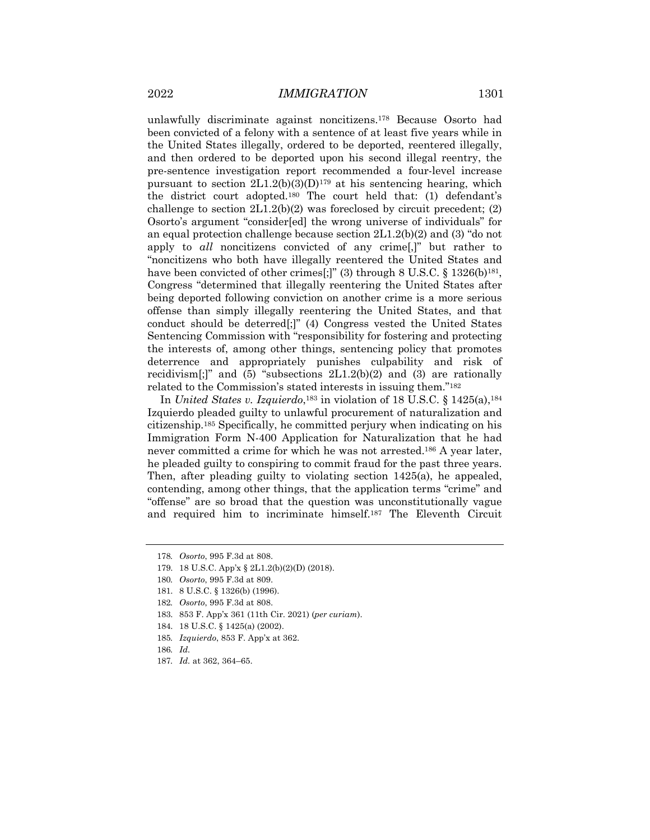unlawfully discriminate against noncitizens.178 Because Osorto had been convicted of a felony with a sentence of at least five years while in the United States illegally, ordered to be deported, reentered illegally, and then ordered to be deported upon his second illegal reentry, the pre-sentence investigation report recommended a four-level increase pursuant to section  $2L1.2(b)(3)(D)^{179}$  at his sentencing hearing, which the district court adopted.180 The court held that: (1) defendant's challenge to section  $2L1.2(b)(2)$  was foreclosed by circuit precedent; (2) Osorto's argument "consider[ed] the wrong universe of individuals" for an equal protection challenge because section  $2L1.2(b)(2)$  and (3) "do not apply to *all* noncitizens convicted of any crime[,]" but rather to "noncitizens who both have illegally reentered the United States and have been convicted of other crimes[;]" (3) through  $8 \text{ U.S.C.} \$   $1326(b)^{181}$ , Congress "determined that illegally reentering the United States after being deported following conviction on another crime is a more serious offense than simply illegally reentering the United States, and that conduct should be deterred[;]" (4) Congress vested the United States Sentencing Commission with "responsibility for fostering and protecting the interests of, among other things, sentencing policy that promotes deterrence and appropriately punishes culpability and risk of recidivism[;]" and (5) "subsections  $2L1.2(b)(2)$  and (3) are rationally related to the Commission's stated interests in issuing them."182

In *United States v. Izquierdo*,183 in violation of 18 U.S.C. § 1425(a),184 Izquierdo pleaded guilty to unlawful procurement of naturalization and citizenship.185 Specifically, he committed perjury when indicating on his Immigration Form N-400 Application for Naturalization that he had never committed a crime for which he was not arrested.186 A year later, he pleaded guilty to conspiring to commit fraud for the past three years. Then, after pleading guilty to violating section  $1425(a)$ , he appealed, contending, among other things, that the application terms "crime" and "offense" are so broad that the question was unconstitutionally vague and required him to incriminate himself.187 The Eleventh Circuit

<sup>178</sup>*. Osorto*, 995 F.3d at 808.

<sup>179.</sup> 18 U.S.C. App'x § 2L1.2(b)(2)(D) (2018).

<sup>180</sup>*. Osorto*, 995 F.3d at 809.

<sup>181.</sup> 8 U.S.C. § 1326(b) (1996).

<sup>182</sup>*. Osorto*, 995 F.3d at 808.

<sup>183.</sup> 853 F. App'x 361 (11th Cir. 2021) (*per curiam*).

<sup>184.</sup> 18 U.S.C. § 1425(a) (2002).

<sup>185</sup>*. Izquierdo*, 853 F. App'x at 362.

<sup>186</sup>*. Id.*

<sup>187</sup>*. Id.* at 362, 364–65.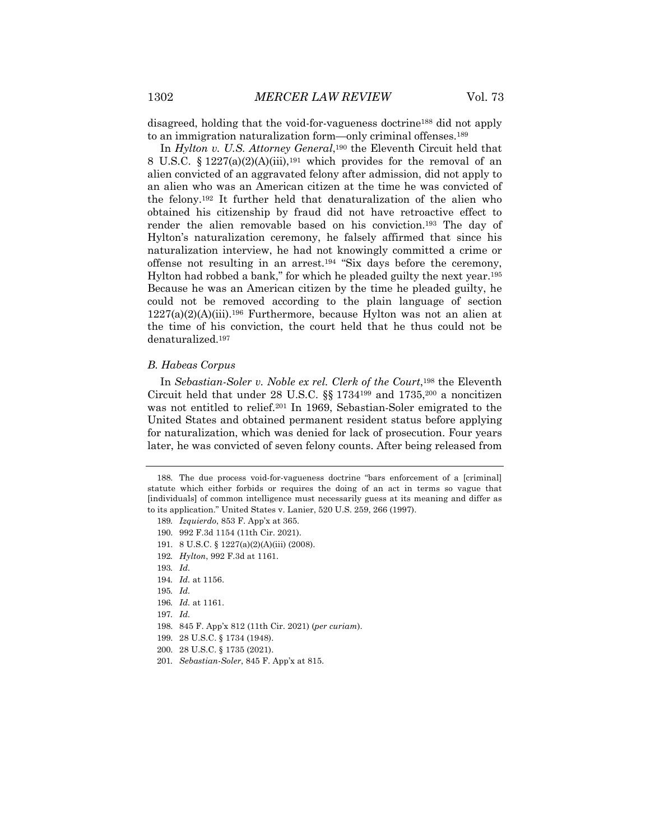disagreed, holding that the void-for-vagueness doctrine188 did not apply to an immigration naturalization form—only criminal offenses.189

In *Hylton v. U.S. Attorney General*,190 the Eleventh Circuit held that 8 U.S.C.  $\S 1227(a)(2)(A)(iii)$ , <sup>191</sup> which provides for the removal of an alien convicted of an aggravated felony after admission, did not apply to an alien who was an American citizen at the time he was convicted of the felony.192 It further held that denaturalization of the alien who obtained his citizenship by fraud did not have retroactive effect to render the alien removable based on his conviction.193 The day of Hylton's naturalization ceremony, he falsely affirmed that since his naturalization interview, he had not knowingly committed a crime or offense not resulting in an arrest.194 "Six days before the ceremony, Hylton had robbed a bank," for which he pleaded guilty the next year.195 Because he was an American citizen by the time he pleaded guilty, he could not be removed according to the plain language of section  $1227(a)(2)(A)(iii).$ <sup>196</sup> Furthermore, because Hylton was not an alien at the time of his conviction, the court held that he thus could not be denaturalized.197

#### *B. Habeas Corpus*

In *Sebastian-Soler v. Noble ex rel. Clerk of the Court*,<sup>198</sup> the Eleventh Circuit held that under 28 U.S.C.  $\S$  1734<sup>199</sup> and 1735,<sup>200</sup> a noncitizen was not entitled to relief.201 In 1969, Sebastian-Soler emigrated to the United States and obtained permanent resident status before applying for naturalization, which was denied for lack of prosecution. Four years later, he was convicted of seven felony counts. After being released from

- 191. 8 U.S.C. § 1227(a)(2)(A)(iii) (2008).
- 192*. Hylton*, 992 F.3d at 1161.

- 198. 845 F. App'x 812 (11th Cir. 2021) (*per curiam*).
- 199. 28 U.S.C. § 1734 (1948).
- 200. 28 U.S.C. § 1735 (2021).
- 201*. Sebastian-Soler*, 845 F. App'x at 815.

<sup>188.</sup> The due process void-for-vagueness doctrine "bars enforcement of a [criminal] statute which either forbids or requires the doing of an act in terms so vague that [individuals] of common intelligence must necessarily guess at its meaning and differ as to its application." United States v. Lanier, 520 U.S. 259, 266 (1997).

<sup>189</sup>*. Izquierdo*, 853 F. App'x at 365.

<sup>190.</sup> 992 F.3d 1154 (11th Cir. 2021).

<sup>193</sup>*. Id.*

<sup>194</sup>*. Id.* at 1156.

<sup>195</sup>*. Id.*

<sup>196</sup>*. Id.* at 1161.

<sup>197</sup>*. Id.*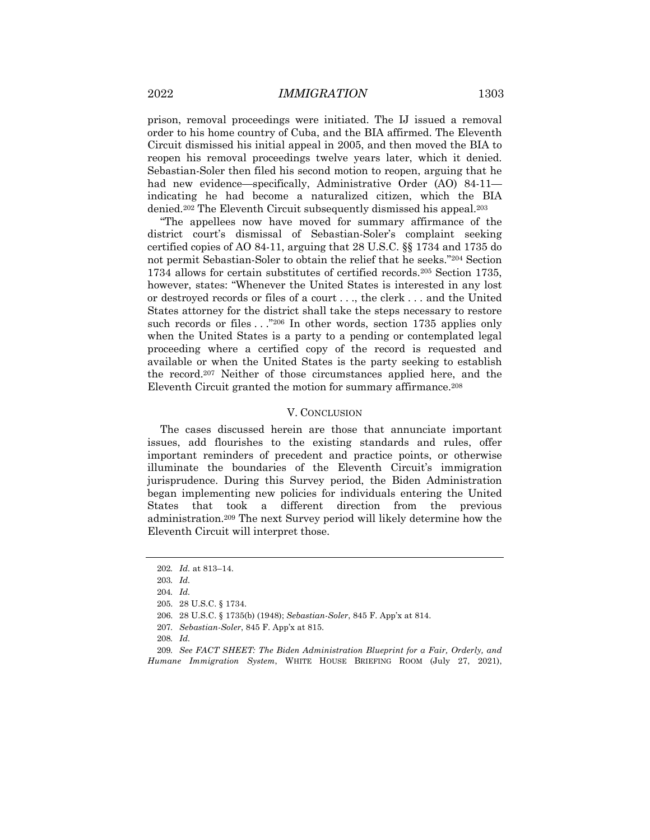prison, removal proceedings were initiated. The IJ issued a removal order to his home country of Cuba, and the BIA affirmed. The Eleventh Circuit dismissed his initial appeal in 2005, and then moved the BIA to reopen his removal proceedings twelve years later, which it denied. Sebastian-Soler then filed his second motion to reopen, arguing that he had new evidence—specifically, Administrative Order (AO) 84-11 indicating he had become a naturalized citizen, which the BIA denied.202 The Eleventh Circuit subsequently dismissed his appeal.203

"The appellees now have moved for summary affirmance of the district court's dismissal of Sebastian-Soler's complaint seeking certified copies of AO 84-11, arguing that 28 U.S.C. §§ 1734 and 1735 do not permit Sebastian-Soler to obtain the relief that he seeks."204 Section 1734 allows for certain substitutes of certified records.205 Section 1735, however, states: "Whenever the United States is interested in any lost or destroyed records or files of a court . . ., the clerk . . . and the United States attorney for the district shall take the steps necessary to restore such records or files . . . "206 In other words, section 1735 applies only when the United States is a party to a pending or contemplated legal proceeding where a certified copy of the record is requested and available or when the United States is the party seeking to establish the record.207 Neither of those circumstances applied here, and the Eleventh Circuit granted the motion for summary affirmance.208

#### V. CONCLUSION

The cases discussed herein are those that annunciate important issues, add flourishes to the existing standards and rules, offer important reminders of precedent and practice points, or otherwise illuminate the boundaries of the Eleventh Circuit's immigration jurisprudence. During this Survey period, the Biden Administration began implementing new policies for individuals entering the United States that took a different direction from the previous administration.209 The next Survey period will likely determine how the Eleventh Circuit will interpret those.

207*. Sebastian-Soler*, 845 F. App'x at 815.

<sup>202</sup>*. Id.* at 813–14.

<sup>203</sup>*. Id.*

<sup>204</sup>*. Id.*

<sup>205.</sup> 28 U.S.C. § 1734.

<sup>206.</sup> 28 U.S.C. § 1735(b) (1948); *Sebastian-Soler*, 845 F. App'x at 814.

<sup>208</sup>*. Id.*

<sup>209</sup>*. See FACT SHEET: The Biden Administration Blueprint for a Fair, Orderly, and Humane Immigration System*, WHITE HOUSE BRIEFING ROOM (July 27, 2021),